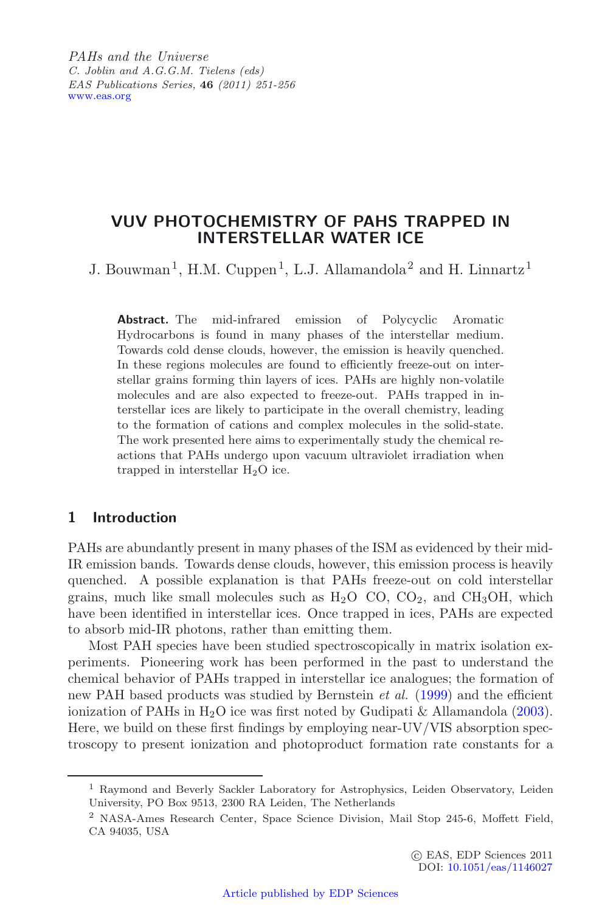*PAHs and the Universe C. Joblin and A.G.G.M. Tielens (eds) EAS Publications Series,* **46** *(2011) 251-256* [www.eas.org](http://www.eas.org)

# **VUV PHOTOCHEMISTRY OF PAHS TRAPPED IN INTERSTELLAR WATER ICE**

J. Bouwman<sup>1</sup>, H.M. Cuppen<sup>1</sup>, L.J. Allamandola<sup>2</sup> and H. Linnartz<sup>1</sup>

**Abstract.** The mid-infrared emission of Polycyclic Aromatic Hydrocarbons is found in many phases of the interstellar medium. Towards cold dense clouds, however, the emission is heavily quenched. In these regions molecules are found to efficiently freeze-out on interstellar grains forming thin layers of ices. PAHs are highly non-volatile molecules and are also expected to freeze-out. PAHs trapped in interstellar ices are likely to participate in the overall chemistry, leading to the formation of cations and complex molecules in the solid-state. The work presented here aims to experimentally study the chemical reactions that PAHs undergo upon vacuum ultraviolet irradiation when trapped in interstellar  $H_2O$  ice.

# **1 Introduction**

PAHs are abundantly present in many phases of the ISM as evidenced by their mid-IR emission bands. Towards dense clouds, however, this emission process is heavily quenched. A possible explanation is that PAHs freeze-out on cold interstellar grains, much like small molecules such as  $H_2O$  CO,  $CO_2$ , and  $CH_3OH$ , which have been identified in interstellar ices. Once trapped in ices, PAHs are expected to absorb mid-IR photons, rather than emitting them.

Most PAH species have been studied spectroscopically in matrix isolation experiments. Pioneering work has been performed in the past to understand the chemical behavior of PAHs trapped in interstellar ice analogues; the formation of new PAH based products was studied by Bernstein *et al.* [\(1999\)](#page-5-0) and the efficient ionization of PAHs in  $H_2O$  ice was first noted by Gudipati & Allamandola [\(2003\)](#page-5-1). Here, we build on these first findings by employing near-UV/VIS absorption spectroscopy to present ionization and photoproduct formation rate constants for a

<sup>1</sup> Raymond and Beverly Sackler Laboratory for Astrophysics, Leiden Observatory, Leiden University, PO Box 9513, 2300 RA Leiden, The Netherlands

<sup>2</sup> NASA-Ames Research Center, Space Science Division, Mail Stop 245-6, Moffett Field, CA 94035, USA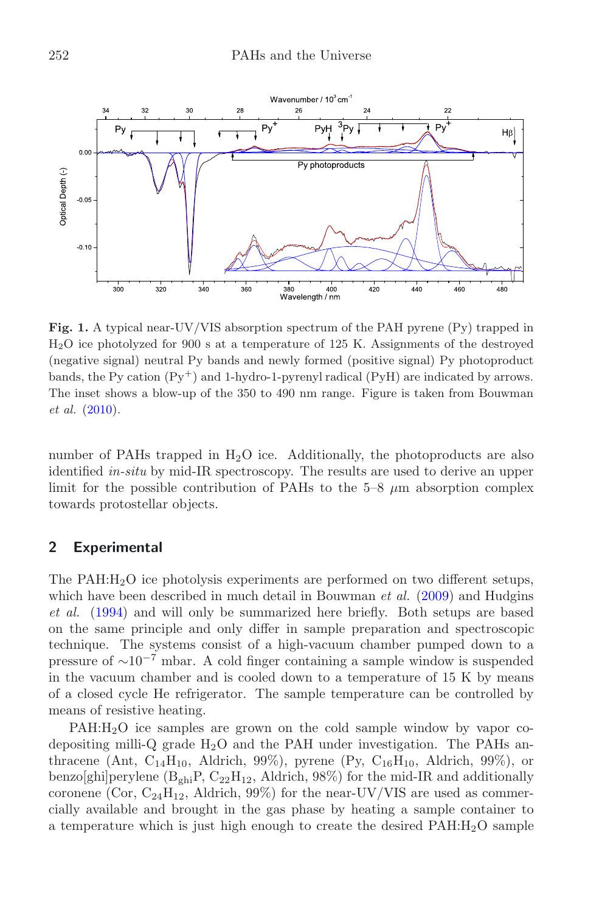<span id="page-1-0"></span>

**Fig. 1.** A typical near-UV/VIS absorption spectrum of the PAH pyrene (Py) trapped in H2O ice photolyzed for 900 s at a temperature of 125 K. Assignments of the destroyed (negative signal) neutral Py bands and newly formed (positive signal) Py photoproduct bands, the Py cation  $(\text{Py}^+)$  and 1-hydro-1-pyrenyl radical  $(\text{PyH})$  are indicated by arrows. The inset shows a blow-up of the 350 to 490 nm range. Figure is taken from Bouwman *et al.* [\(2010](#page-5-2)).

number of PAHs trapped in  $H_2O$  ice. Additionally, the photoproducts are also identified *in-situ* by mid-IR spectroscopy. The results are used to derive an upper limit for the possible contribution of PAHs to the 5–8 *µ*m absorption complex towards protostellar objects.

# **2 Experimental**

The PAH:H2O ice photolysis experiments are performed on two different setups, which have been described in much detail in Bouwman *et al.* [\(2009\)](#page-5-3) and Hudgins *et al.* [\(1994\)](#page-5-4) and will only be summarized here briefly. Both setups are based on the same principle and only differ in sample preparation and spectroscopic technique. The systems consist of a high-vacuum chamber pumped down to a pressure of ∼10*<sup>−</sup>*<sup>7</sup> mbar. A cold finger containing a sample window is suspended in the vacuum chamber and is cooled down to a temperature of 15 K by means of a closed cycle He refrigerator. The sample temperature can be controlled by means of resistive heating.

PAH:H2O ice samples are grown on the cold sample window by vapor codepositing milli-Q grade  $H_2O$  and the PAH under investigation. The PAHs anthracene (Ant,  $C_{14}H_{10}$ , Aldrich, 99%), pyrene (Py,  $C_{16}H_{10}$ , Aldrich, 99%), or benzo[ghi]perylene  $(B_{ghi}P, C_{22}H_{12},$  Aldrich, 98%) for the mid-IR and additionally coronene (Cor,  $C_{24}H_{12}$ , Aldrich, 99%) for the near-UV/VIS are used as commercially available and brought in the gas phase by heating a sample container to a temperature which is just high enough to create the desired  $PAH:H_2O$  sample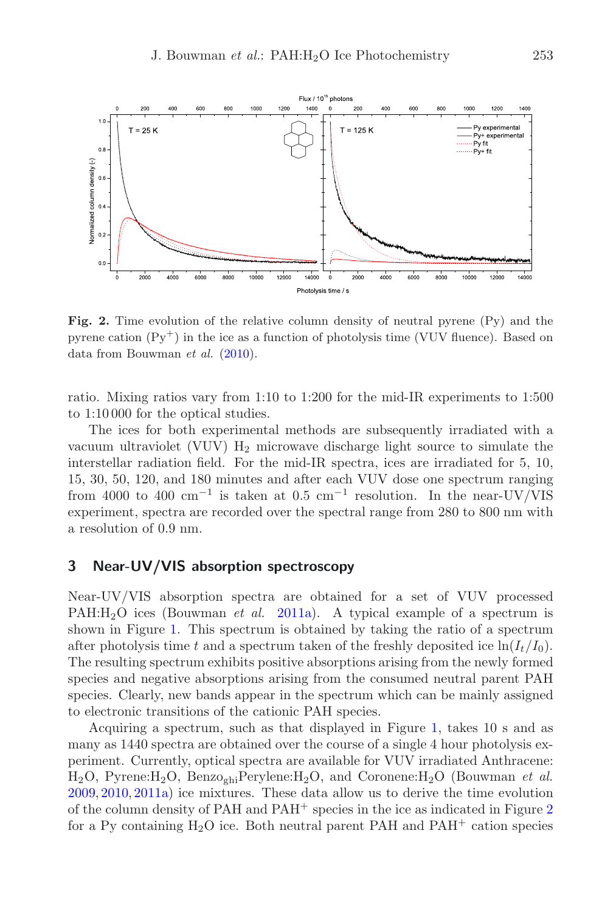<span id="page-2-0"></span>

**Fig. 2.** Time evolution of the relative column density of neutral pyrene (Py) and the pyrene cation  $(\mathrm{Py}^+)$  in the ice as a function of photolysis time (VUV fluence). Based on data from Bouwman *et al.* [\(2010](#page-5-2)).

ratio. Mixing ratios vary from 1:10 to 1:200 for the mid-IR experiments to 1:500 to 1:10 000 for the optical studies.

The ices for both experimental methods are subsequently irradiated with a vacuum ultraviolet (VUV)  $H_2$  microwave discharge light source to simulate the interstellar radiation field. For the mid-IR spectra, ices are irradiated for 5, 10, 15, 30, 50, 120, and 180 minutes and after each VUV dose one spectrum ranging from 4000 to 400 cm*<sup>−</sup>*<sup>1</sup> is taken at 0.5 cm*<sup>−</sup>*<sup>1</sup> resolution. In the near-UV/VIS experiment, spectra are recorded over the spectral range from 280 to 800 nm with a resolution of 0.9 nm.

# **3 Near-UV/VIS absorption spectroscopy**

Near-UV/VIS absorption spectra are obtained for a set of VUV processed PAH:H<sub>2</sub>O ices (Bouwman *et al.* [2011a\)](#page-5-5). A typical example of a spectrum is shown in Figure [1.](#page-1-0) This spectrum is obtained by taking the ratio of a spectrum after photolysis time t and a spectrum taken of the freshly deposited ice  $\ln(I_t/I_0)$ . The resulting spectrum exhibits positive absorptions arising from the newly formed species and negative absorptions arising from the consumed neutral parent PAH species. Clearly, new bands appear in the spectrum which can be mainly assigned to electronic transitions of the cationic PAH species.

Acquiring a spectrum, such as that displayed in Figure [1,](#page-1-0) takes 10 s and as many as 1440 spectra are obtained over the course of a single 4 hour photolysis experiment. Currently, optical spectra are available for VUV irradiated Anthracene:  $H_2O$ , Pyrene: $H_2O$ , Benzo<sub>ghi</sub>Perylene: $H_2O$ , and Coronene: $H_2O$  (Bouwman *et al.*) [2009,](#page-5-3) [2010,](#page-5-2) [2011a\)](#page-5-5) ice mixtures. These data allow us to derive the time evolution of the column density of PAH and  $PAH^+$  species in the ice as indicated in Figure [2](#page-2-0) for a Py containing  $H_2O$  ice. Both neutral parent PAH and PAH<sup>+</sup> cation species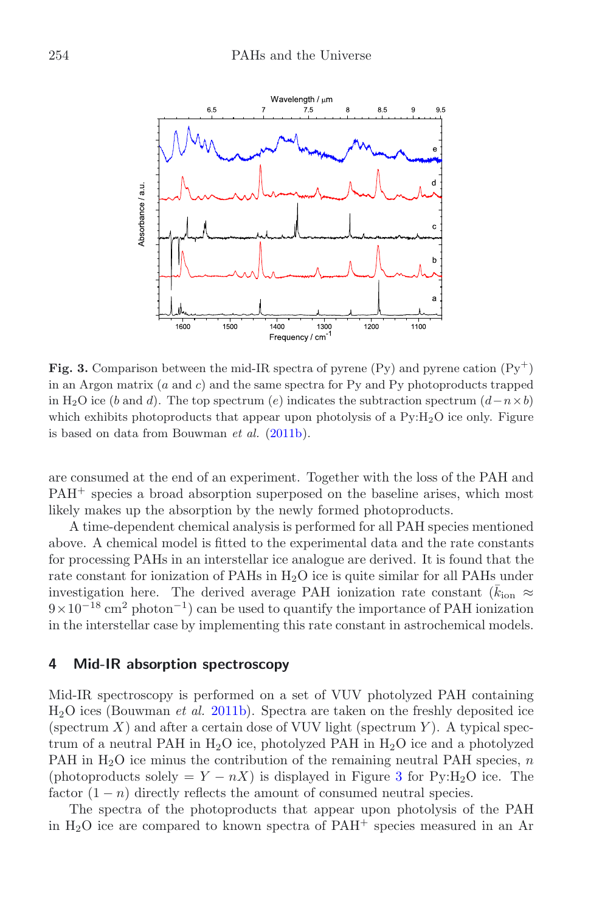<span id="page-3-0"></span>

**Fig. 3.** Comparison between the mid-IR spectra of pyrene (Py) and pyrene cation  $(Py^+)$ in an Argon matrix (*a* and *c*) and the same spectra for Py and Py photoproducts trapped in H<sub>2</sub>O ice (*b* and *d*). The top spectrum (*e*) indicates the subtraction spectrum  $(d - n \times b)$ which exhibits photoproducts that appear upon photolysis of a  $Py:H_2O$  ice only. Figure is based on data from Bouwman *et al.* [\(2011b\)](#page-5-6).

are consumed at the end of an experiment. Together with the loss of the PAH and PAH<sup>+</sup> species a broad absorption superposed on the baseline arises, which most likely makes up the absorption by the newly formed photoproducts.

A time-dependent chemical analysis is performed for all PAH species mentioned above. A chemical model is fitted to the experimental data and the rate constants for processing PAHs in an interstellar ice analogue are derived. It is found that the rate constant for ionization of PAHs in  $H_2O$  ice is quite similar for all PAHs under investigation here. The derived average PAH ionization rate constant  $(\bar{k}_{\text{ion}} \approx 0.6210^{-18} \text{ cm}^2 \text{ photon}^{-1})$  can be used to quantify the importance of PAH ionization 9×10*<sup>−</sup>*<sup>18</sup> cm<sup>2</sup> photon*<sup>−</sup>*1) can be used to quantify the importance of PAH ionization in the interstellar case by implementing this rate constant in astrochemical models.

### **4 Mid-IR absorption spectroscopy**

Mid-IR spectroscopy is performed on a set of VUV photolyzed PAH containing <sup>H</sup>2O ices (Bouwman *et al.* [2011b\)](#page-5-6). Spectra are taken on the freshly deposited ice (spectrum  $X$ ) and after a certain dose of VUV light (spectrum  $Y$ ). A typical spectrum of a neutral PAH in  $H_2O$  ice, photolyzed PAH in  $H_2O$  ice and a photolyzed PAH in H2O ice minus the contribution of the remaining neutral PAH species, *<sup>n</sup>* (photoproducts solely =  $Y - nX$ ) is displayed in Figure [3](#page-3-0) for Py:H<sub>2</sub>O ice. The factor  $(1 - n)$  directly reflects the amount of consumed neutral species.

The spectra of the photoproducts that appear upon photolysis of the PAH in  $H_2O$  ice are compared to known spectra of  $PAH^+$  species measured in an Ar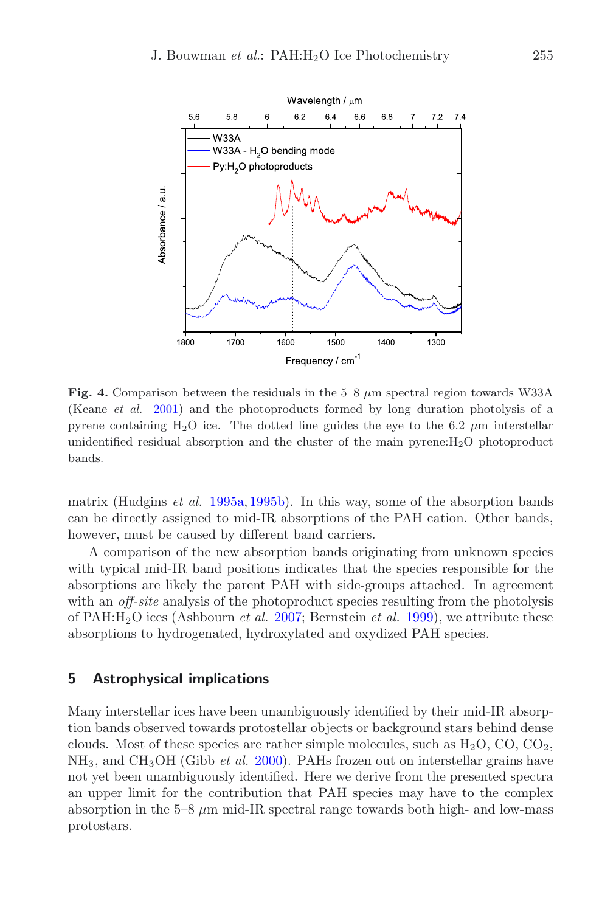<span id="page-4-0"></span>

**Fig. 4.** Comparison between the residuals in the 5–8 *<sup>µ</sup>*m spectral region towards W33A (Keane *et al.* [2001](#page-5-7)) and the photoproducts formed by long duration photolysis of a pyrene containing H2O ice. The dotted line guides the eye to the 6.2 *µ*m interstellar unidentified residual absorption and the cluster of the main pyrene:H2O photoproduct bands.

matrix (Hudgins *et al.* [1995a](#page-5-8), [1995b\)](#page-5-9). In this way, some of the absorption bands can be directly assigned to mid-IR absorptions of the PAH cation. Other bands, however, must be caused by different band carriers.

A comparison of the new absorption bands originating from unknown species with typical mid-IR band positions indicates that the species responsible for the absorptions are likely the parent PAH with side-groups attached. In agreement with an *off-site* analysis of the photoproduct species resulting from the photolysis of PAH:H2O ices (Ashbourn *et al.* [2007](#page-5-10); Bernstein *et al.* [1999\)](#page-5-0), we attribute these absorptions to hydrogenated, hydroxylated and oxydized PAH species.

#### **5 Astrophysical implications**

Many interstellar ices have been unambiguously identified by their mid-IR absorption bands observed towards protostellar objects or background stars behind dense clouds. Most of these species are rather simple molecules, such as  $H_2O$ , CO, CO<sub>2</sub>, NH3, and CH3OH (Gibb *et al.* [2000](#page-5-11)). PAHs frozen out on interstellar grains have not yet been unambiguously identified. Here we derive from the presented spectra an upper limit for the contribution that PAH species may have to the complex absorption in the  $5-8 \mu m$  mid-IR spectral range towards both high- and low-mass protostars.